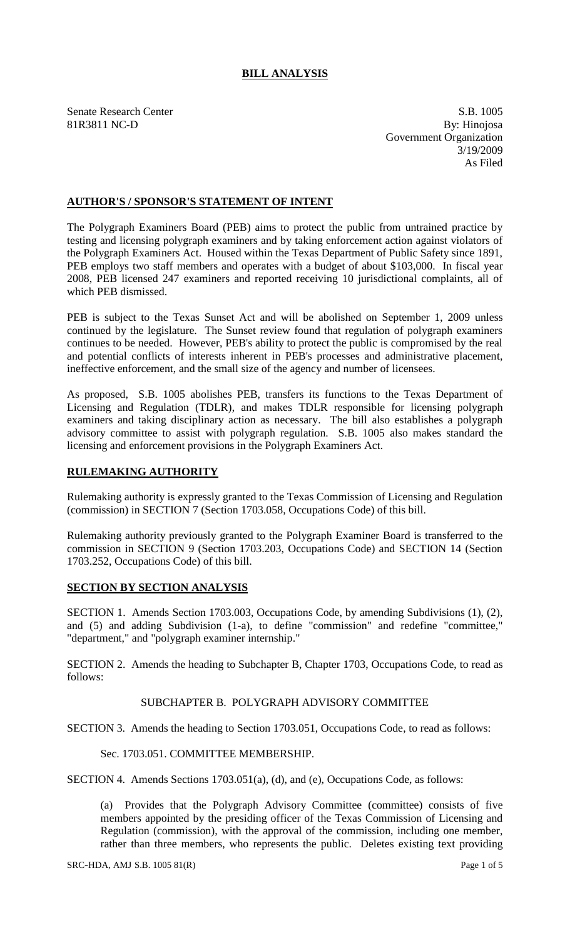# **BILL ANALYSIS**

Senate Research Center S.B. 1005 81R3811 NC-D By: Hinojosa Government Organization 3/19/2009 As Filed

## **AUTHOR'S / SPONSOR'S STATEMENT OF INTENT**

The Polygraph Examiners Board (PEB) aims to protect the public from untrained practice by testing and licensing polygraph examiners and by taking enforcement action against violators of the Polygraph Examiners Act. Housed within the Texas Department of Public Safety since 1891, PEB employs two staff members and operates with a budget of about \$103,000. In fiscal year 2008, PEB licensed 247 examiners and reported receiving 10 jurisdictional complaints, all of which PEB dismissed.

PEB is subject to the Texas Sunset Act and will be abolished on September 1, 2009 unless continued by the legislature. The Sunset review found that regulation of polygraph examiners continues to be needed. However, PEB's ability to protect the public is compromised by the real and potential conflicts of interests inherent in PEB's processes and administrative placement, ineffective enforcement, and the small size of the agency and number of licensees.

As proposed, S.B. 1005 abolishes PEB, transfers its functions to the Texas Department of Licensing and Regulation (TDLR), and makes TDLR responsible for licensing polygraph examiners and taking disciplinary action as necessary. The bill also establishes a polygraph advisory committee to assist with polygraph regulation. S.B. 1005 also makes standard the licensing and enforcement provisions in the Polygraph Examiners Act.

#### **RULEMAKING AUTHORITY**

Rulemaking authority is expressly granted to the Texas Commission of Licensing and Regulation (commission) in SECTION 7 (Section 1703.058, Occupations Code) of this bill.

Rulemaking authority previously granted to the Polygraph Examiner Board is transferred to the commission in SECTION 9 (Section 1703.203, Occupations Code) and SECTION 14 (Section 1703.252, Occupations Code) of this bill.

### **SECTION BY SECTION ANALYSIS**

SECTION 1. Amends Section 1703.003, Occupations Code, by amending Subdivisions (1), (2), and (5) and adding Subdivision (1-a), to define "commission" and redefine "committee," "department," and "polygraph examiner internship."

SECTION 2. Amends the heading to Subchapter B, Chapter 1703, Occupations Code, to read as follows:

#### SUBCHAPTER B. POLYGRAPH ADVISORY COMMITTEE

SECTION 3. Amends the heading to Section 1703.051, Occupations Code, to read as follows:

### Sec. 1703.051. COMMITTEE MEMBERSHIP.

SECTION 4. Amends Sections 1703.051(a), (d), and (e), Occupations Code, as follows:

(a) Provides that the Polygraph Advisory Committee (committee) consists of five members appointed by the presiding officer of the Texas Commission of Licensing and Regulation (commission), with the approval of the commission, including one member, rather than three members, who represents the public. Deletes existing text providing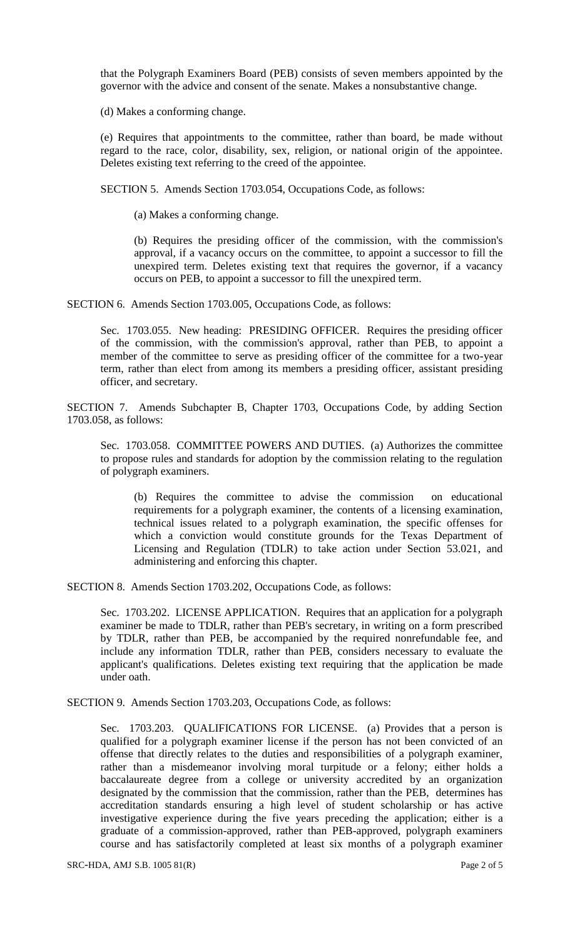that the Polygraph Examiners Board (PEB) consists of seven members appointed by the governor with the advice and consent of the senate. Makes a nonsubstantive change.

(d) Makes a conforming change.

(e) Requires that appointments to the committee, rather than board, be made without regard to the race, color, disability, sex, religion, or national origin of the appointee. Deletes existing text referring to the creed of the appointee.

SECTION 5. Amends Section 1703.054, Occupations Code, as follows:

(a) Makes a conforming change.

(b) Requires the presiding officer of the commission, with the commission's approval, if a vacancy occurs on the committee, to appoint a successor to fill the unexpired term. Deletes existing text that requires the governor, if a vacancy occurs on PEB, to appoint a successor to fill the unexpired term.

SECTION 6. Amends Section 1703.005, Occupations Code, as follows:

Sec. 1703.055. New heading: PRESIDING OFFICER. Requires the presiding officer of the commission, with the commission's approval, rather than PEB, to appoint a member of the committee to serve as presiding officer of the committee for a two-year term, rather than elect from among its members a presiding officer, assistant presiding officer, and secretary.

SECTION 7. Amends Subchapter B, Chapter 1703, Occupations Code, by adding Section 1703.058, as follows:

Sec. 1703.058. COMMITTEE POWERS AND DUTIES. (a) Authorizes the committee to propose rules and standards for adoption by the commission relating to the regulation of polygraph examiners.

(b) Requires the committee to advise the commission on educational requirements for a polygraph examiner, the contents of a licensing examination, technical issues related to a polygraph examination, the specific offenses for which a conviction would constitute grounds for the Texas Department of Licensing and Regulation (TDLR) to take action under Section 53.021, and administering and enforcing this chapter.

SECTION 8. Amends Section 1703.202, Occupations Code, as follows:

Sec. 1703.202. LICENSE APPLICATION. Requires that an application for a polygraph examiner be made to TDLR, rather than PEB's secretary, in writing on a form prescribed by TDLR, rather than PEB, be accompanied by the required nonrefundable fee, and include any information TDLR, rather than PEB, considers necessary to evaluate the applicant's qualifications. Deletes existing text requiring that the application be made under oath.

SECTION 9. Amends Section 1703.203, Occupations Code, as follows:

Sec. 1703.203. QUALIFICATIONS FOR LICENSE. (a) Provides that a person is qualified for a polygraph examiner license if the person has not been convicted of an offense that directly relates to the duties and responsibilities of a polygraph examiner, rather than a misdemeanor involving moral turpitude or a felony; either holds a baccalaureate degree from a college or university accredited by an organization designated by the commission that the commission, rather than the PEB, determines has accreditation standards ensuring a high level of student scholarship or has active investigative experience during the five years preceding the application; either is a graduate of a commission-approved, rather than PEB-approved, polygraph examiners course and has satisfactorily completed at least six months of a polygraph examiner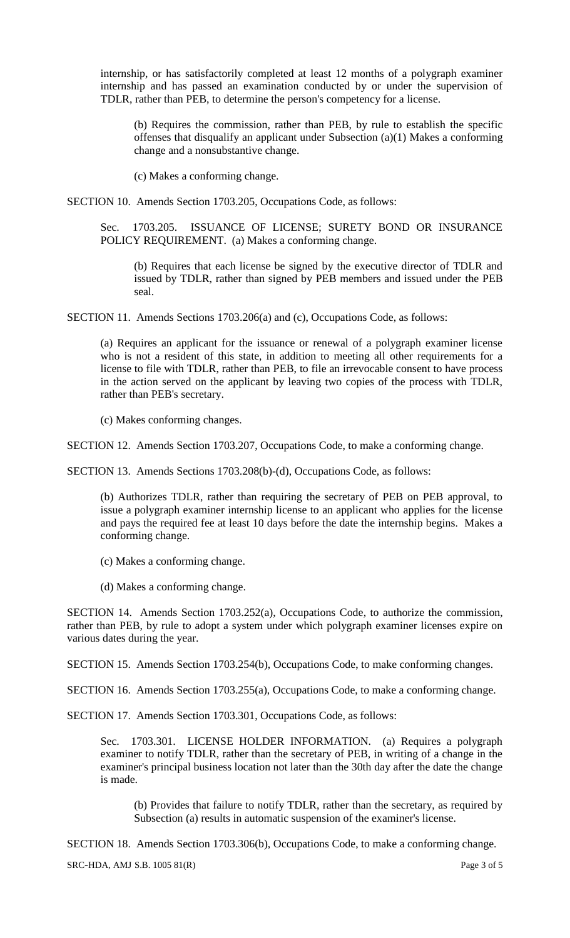internship, or has satisfactorily completed at least 12 months of a polygraph examiner internship and has passed an examination conducted by or under the supervision of TDLR, rather than PEB, to determine the person's competency for a license.

(b) Requires the commission, rather than PEB, by rule to establish the specific offenses that disqualify an applicant under Subsection (a)(1) Makes a conforming change and a nonsubstantive change.

(c) Makes a conforming change.

SECTION 10. Amends Section 1703.205, Occupations Code, as follows:

Sec. 1703.205. ISSUANCE OF LICENSE; SURETY BOND OR INSURANCE POLICY REQUIREMENT. (a) Makes a conforming change.

(b) Requires that each license be signed by the executive director of TDLR and issued by TDLR, rather than signed by PEB members and issued under the PEB seal.

SECTION 11. Amends Sections 1703.206(a) and (c), Occupations Code, as follows:

(a) Requires an applicant for the issuance or renewal of a polygraph examiner license who is not a resident of this state, in addition to meeting all other requirements for a license to file with TDLR, rather than PEB, to file an irrevocable consent to have process in the action served on the applicant by leaving two copies of the process with TDLR, rather than PEB's secretary.

(c) Makes conforming changes.

SECTION 12. Amends Section 1703.207, Occupations Code, to make a conforming change.

SECTION 13. Amends Sections 1703.208(b)-(d), Occupations Code, as follows:

(b) Authorizes TDLR, rather than requiring the secretary of PEB on PEB approval, to issue a polygraph examiner internship license to an applicant who applies for the license and pays the required fee at least 10 days before the date the internship begins. Makes a conforming change.

(c) Makes a conforming change.

(d) Makes a conforming change.

SECTION 14. Amends Section 1703.252(a), Occupations Code, to authorize the commission, rather than PEB, by rule to adopt a system under which polygraph examiner licenses expire on various dates during the year.

SECTION 15. Amends Section 1703.254(b), Occupations Code, to make conforming changes.

SECTION 16. Amends Section 1703.255(a), Occupations Code, to make a conforming change.

SECTION 17. Amends Section 1703.301, Occupations Code, as follows:

Sec. 1703.301. LICENSE HOLDER INFORMATION. (a) Requires a polygraph examiner to notify TDLR, rather than the secretary of PEB, in writing of a change in the examiner's principal business location not later than the 30th day after the date the change is made.

(b) Provides that failure to notify TDLR, rather than the secretary, as required by Subsection (a) results in automatic suspension of the examiner's license.

SECTION 18. Amends Section 1703.306(b), Occupations Code, to make a conforming change.

SRC-HDA, AMJ S.B. 1005 81(R) Page 3 of 5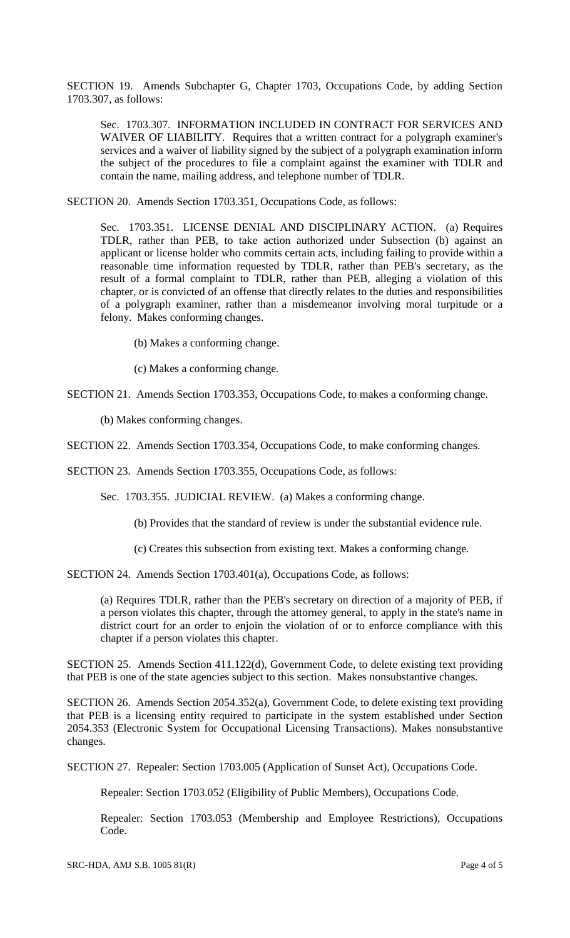SECTION 19. Amends Subchapter G, Chapter 1703, Occupations Code, by adding Section 1703.307, as follows:

Sec. 1703.307. INFORMATION INCLUDED IN CONTRACT FOR SERVICES AND WAIVER OF LIABILITY. Requires that a written contract for a polygraph examiner's services and a waiver of liability signed by the subject of a polygraph examination inform the subject of the procedures to file a complaint against the examiner with TDLR and contain the name, mailing address, and telephone number of TDLR.

SECTION 20. Amends Section 1703.351, Occupations Code, as follows:

Sec. 1703.351. LICENSE DENIAL AND DISCIPLINARY ACTION. (a) Requires TDLR, rather than PEB, to take action authorized under Subsection (b) against an applicant or license holder who commits certain acts, including failing to provide within a reasonable time information requested by TDLR, rather than PEB's secretary, as the result of a formal complaint to TDLR, rather than PEB, alleging a violation of this chapter, or is convicted of an offense that directly relates to the duties and responsibilities of a polygraph examiner, rather than a misdemeanor involving moral turpitude or a felony. Makes conforming changes.

(b) Makes a conforming change.

(c) Makes a conforming change.

SECTION 21. Amends Section 1703.353, Occupations Code, to makes a conforming change.

(b) Makes conforming changes.

SECTION 22. Amends Section 1703.354, Occupations Code, to make conforming changes.

SECTION 23. Amends Section 1703.355, Occupations Code, as follows:

Sec. 1703.355. JUDICIAL REVIEW. (a) Makes a conforming change.

(b) Provides that the standard of review is under the substantial evidence rule.

(c) Creates this subsection from existing text. Makes a conforming change.

SECTION 24. Amends Section 1703.401(a), Occupations Code, as follows:

(a) Requires TDLR, rather than the PEB's secretary on direction of a majority of PEB, if a person violates this chapter, through the attorney general, to apply in the state's name in district court for an order to enjoin the violation of or to enforce compliance with this chapter if a person violates this chapter.

SECTION 25. Amends Section 411.122(d), Government Code, to delete existing text providing that PEB is one of the state agencies subject to this section. Makes nonsubstantive changes.

SECTION 26. Amends Section 2054.352(a), Government Code, to delete existing text providing that PEB is a licensing entity required to participate in the system established under Section 2054.353 (Electronic System for Occupational Licensing Transactions). Makes nonsubstantive changes.

SECTION 27. Repealer: Section 1703.005 (Application of Sunset Act), Occupations Code.

Repealer: Section 1703.052 (Eligibility of Public Members), Occupations Code.

Repealer: Section 1703.053 (Membership and Employee Restrictions), Occupations Code.